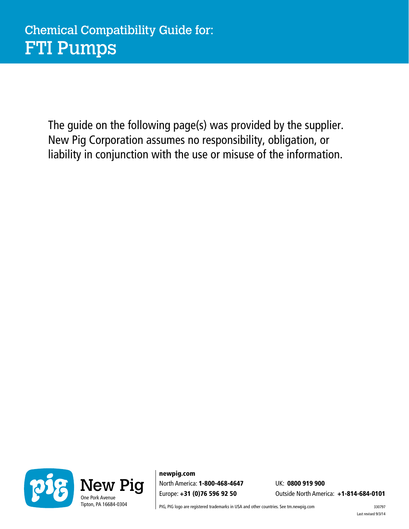The guide on the following page(s) was provided by the supplier. New Pig Corporation assumes no responsibility, obligation, or liability in conjunction with the use or misuse of the information.



newpig.com North America: 1-800-468-4647 Europe: +31 (0)76 596 92 50

UK: 0800 919 900 Outside North America: +1-814-684-0101

PIG, PIG logo are registered trademarks in USA and other countries. See tm.newpig.com 330797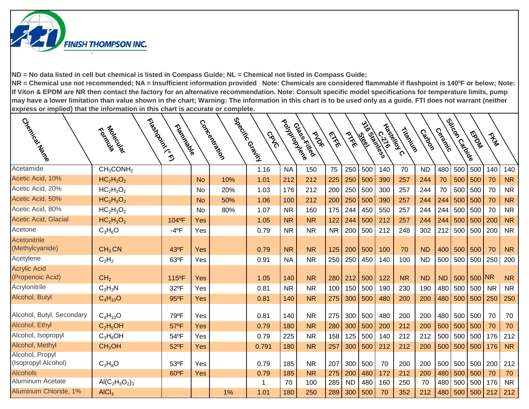

| Creek Hatiscal                          | Fleeting Critics<br>Tological     | Tripidación         |           | Concentration | Special Grains I<br>CRVO | Politacanee | Glass Killed<br><b>PAST</b> | <b>EXE</b> | PIKE      | 516 States<br>les les | $\frac{1}{2}$ | Liberald C<br>Tripping | Catoon    | Ceracke   | Silicon Cardo<br>Silicon | <b>FOOD</b> | Tra Tra   |           |
|-----------------------------------------|-----------------------------------|---------------------|-----------|---------------|--------------------------|-------------|-----------------------------|------------|-----------|-----------------------|---------------|------------------------|-----------|-----------|--------------------------|-------------|-----------|-----------|
| Acetamide                               | CH <sub>3</sub> CONH <sub>2</sub> |                     |           |               | 1.16                     | <b>NA</b>   | 150                         | 75         | 250       | 500                   | 140           | 70                     | <b>ND</b> | 480       | 500                      | 500         | 140       | 140       |
| Acetic Acid, 10%                        | $HC2H3O2$                         |                     | <b>No</b> | 10%           | 1.01                     | 212         | 212                         | 225        | 250       | 500                   | 390           | 257                    | 244       | 70        | 500                      | 500         | 70        | <b>NR</b> |
| Acetic Acid, 20%                        | $HC2H3O2$                         |                     | <b>No</b> | 20%           | 1.03                     | 176         | 212                         | 200        | 250       | 500                   | 300           | 257                    | 244       | 70        | 500                      | 500         | 70        | <b>NR</b> |
| Acetic Acid, 50%                        | $HC2H3O2$                         |                     | <b>No</b> | 50%           | 1.06                     | 100         | 212                         | 200        | 250       | 500                   | 390           | 257                    | 244       | 244       | 500                      | 500         | 70        | <b>NR</b> |
| Acetic Acid, 80%                        | $HC2H3O2$                         |                     | No        | 80%           | 1.07                     | <b>NR</b>   | 160                         | 175        | 244       | 450                   | 550           | 257                    | 244       | 244       | 500                      | 500         | 70        | <b>NR</b> |
| Acetic Acid, Glacial                    | $HC2H3O2$                         | 104°F               | Yes       |               | 1.05                     | <b>NR</b>   | <b>NR</b>                   | 122        | 244       | 500                   | 212           | 257                    | 244       | 244       | 500                      | 500         | 200       | <b>NR</b> |
| Acetone                                 | $C_3H_6O$                         | $-4$ <sup>o</sup> F | Yes       |               | 0.79                     | <b>NR</b>   | <b>NR</b>                   | <b>NR</b>  | 200       | 500                   | 212           | 248                    | 302       | 212       | 500                      | 500         | 200       | <b>NR</b> |
| Acetonitrile<br>(Methylcyanide)         | CH <sub>3</sub> CN                | 43°F                | Yes       |               | 0.79                     | <b>NR</b>   | <b>NR</b>                   | 125        | 200       | 500                   | 100           | 70                     | <b>ND</b> | 400       | 500                      | 500         | 70        | <b>NR</b> |
| Acetylene                               | $C_2H_2$                          | 63°F                | Yes       |               | 0.91                     | <b>NA</b>   | <b>NR</b>                   | 250        | 250       | 450                   | 140           | 100                    | <b>ND</b> | 500       | 500                      | 500         | 250       | 200       |
| <b>Acrylic Acid</b><br>(Propenoic Acid) | CH <sub>2</sub>                   | 115°F               | Yes       |               | 1.05                     | 140         | <b>NR</b>                   | 280        | 212       | 500                   | 122           | <b>NR</b>              | <b>ND</b> | <b>ND</b> | 500                      | 500 NR      |           | <b>NR</b> |
| Acrylonitrile                           | $C_3H_3N$                         | 32°F                | Yes       |               | 0.81                     | <b>NR</b>   | <b>NR</b>                   | 100        | 150       | 500                   | 190           | 230                    | 190       | 480       | 500                      | 500         | <b>NR</b> | <b>NR</b> |
| Alcohol, Butyl                          | $C_4H_{10}O$                      | 95°F                | Yes       |               | 0.81                     | 140         | <b>NR</b>                   | 275        | 300       | 500                   | 480           | 200                    | 200       | 480       | 500                      | 500         | 250       | 250       |
| Alcohol, Butyl, Secondary               | $C_4H_{10}O$                      | 79°F                | Yes       |               | 0.81                     | 140         | <b>NR</b>                   | 275        | 300       | 500                   | 480           | 200                    | 200       |           | 480 500                  | 500         | 70        | 70        |
| Alcohol, Ethyl                          | $C_2H_5OH$                        | 57°F                | Yes       |               | 0.79                     | 180         | <b>NR</b>                   | 280        | 300       | 500                   | 200           | 212                    | 200       | 500       | 500                      | 500         | 70        | 70        |
| Alcohol, Isopropyl                      | $C_3H_8OH$                        | 54°F                | Yes       |               | 0.79                     | 225         | <b>NR</b>                   | 158        | 125       | 500                   | 140           | 212                    | 212       | 500       | 500                      | 500         | 176       | 212       |
| Alcohol, Methyl                         | CH <sub>3</sub> OH                | 52°F                | Yes       |               | 0.791                    | 180         | <b>NR</b>                   | 257        | 300       | 500                   | 212           | 212                    | 200       | 500       | 500                      | 500         | 176       | <b>NR</b> |
| Alcohol, Propyl<br>(Isopropyl Alcohol)  | $C_3H_8O$                         | 53°F                | Yes       |               | 0.79                     | 185         | <b>NR</b>                   | 207        | 300       | 500                   | 70            | 200                    | 200       |           | 500 500                  | 500 200     |           | 212       |
| <b>Alcohols</b>                         |                                   | 60°F                | Yes       |               | 0.79                     | 185         | <b>NR</b>                   | 275        | 200       | 480                   | 172           | 212                    | 200       | 480       | 500                      | 500         | 70        | 70        |
| Aluminum Acetate                        | $AI(C_2H_3O_2)_3$                 |                     |           |               | 1                        | 70          | 100                         | 285        | <b>ND</b> | 480                   | 160           | 250                    | 70        | 480       | 500                      | 500         | 176       | <b>NR</b> |
| Aluminum Chloride, 1%                   | AICI <sub>3</sub>                 |                     |           | 1%            | 1.01                     | 180         | 250                         | 289        | 300       | 500                   | 70            | 352                    | 212       | 480       | 500                      |             | 500 212   | 212       |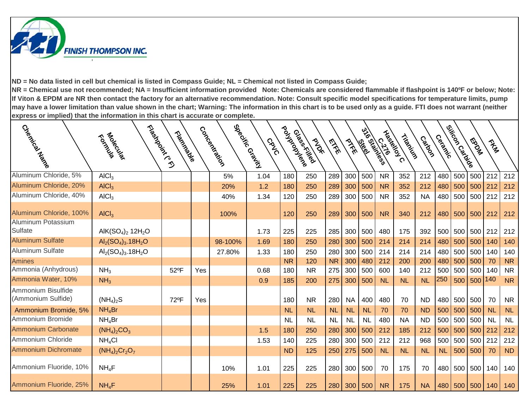

| Cuercian Araccion                                    | Fleeting Critics<br>Foldowich                     | Trigitive Right |     | Concentration | Specing Grain<br>CRVC | Pouyarousiere | Glass Killed<br><b>PAST</b> | EXE       | PTFE      | ಀೢೢ<br>les les | Haskeloy C<br>Crainess<br>120 | Tribatics | Catoon    | Ceracke   | Silicon Cariago | <b>FOOD</b> | They      |           |
|------------------------------------------------------|---------------------------------------------------|-----------------|-----|---------------|-----------------------|---------------|-----------------------------|-----------|-----------|----------------|-------------------------------|-----------|-----------|-----------|-----------------|-------------|-----------|-----------|
| Aluminum Chloride, 5%                                | AICI <sub>3</sub>                                 |                 |     | 5%            | 1.04                  | 180           | 250                         | 289       | 300       | 500            | <b>NR</b>                     | 352       | 212       | 480       | 500             | 500         | 212       | 212       |
| Aluminum Chloride, 20%                               | AICI <sub>3</sub>                                 |                 |     | 20%           | 1.2                   | 180           | 250                         | 289       | 300       | 500            | <b>NR</b>                     | 352       | 212       | 480       | 500             | 500         | 212       | 212       |
| Aluminum Chloride, 40%                               | AICI <sub>3</sub>                                 |                 |     | 40%           | 1.34                  | 120           | 250                         | 289       | 300       | 500            | <b>NR</b>                     | 352       | <b>NA</b> | 480       | 500             | 500         | 212       | 212       |
| Aluminum Chloride, 100%<br><b>Aluminum Potassium</b> | AICI <sub>3</sub>                                 |                 |     | 100%          |                       | 120           | 250                         | 289       | 300       | 500            | <b>NR</b>                     | 340       | 212       | 480       |                 | 500 500 212 |           | 212       |
| Sulfate                                              | AlK $(SO_4)_2$ 12H <sub>2</sub> O                 |                 |     |               | 1.73                  | 225           | 225                         | 285       | 300       | 500            | 480                           | 175       | 392       | 500       | 500             | 500         | 212       | 212       |
| <b>Aluminum Sulfate</b>                              | $Al_2(SO_4)_3.18H_2O$                             |                 |     | 98-100%       | 1.69                  | 180           | 250                         | 280       | 300       | 500            | 214                           | 214       | 214       | 480       | 500             | 500         | 140       | 140       |
| <b>Aluminum Sulfate</b>                              | $\text{Al}_2(\text{SO}_4)_3.18\text{H}_2\text{O}$ |                 |     | 27.80%        | 1.33                  | 180           | 250                         | 280       | 300       | 500            | 214                           | 214       | 214       | 480       | 500             | 500         | 140       | 140       |
| <b>Amines</b>                                        |                                                   |                 |     |               |                       | <b>NR</b>     | 120                         | <b>NR</b> | 300       | 480            | 212                           | 200       | 200       | 480       | 500             | 500         | 70        | <b>NR</b> |
| Ammonia (Anhydrous)                                  | NH <sub>3</sub>                                   | 52°F            | Yes |               | 0.68                  | 180           | <b>NR</b>                   | 275       | 300       | 500            | 600                           | 140       | 212       | 500       | 500             | 500         | 140       | <b>NR</b> |
| Ammonia Water, 10%                                   | NH <sub>3</sub>                                   |                 |     |               | 0.9                   | 185           | 200                         | 275       | 300       | 500            | <b>NL</b>                     | <b>NL</b> | <b>NL</b> | 250       | 500             | 500         | 140       | <b>NR</b> |
| Ammonium Bisulfide<br>(Ammonium Sulfide)             | $(NH_4)_2S$                                       | 72°F            | Yes |               |                       | 180           | <b>NR</b>                   | 280       | <b>NA</b> | 400            | 480                           | 70        | <b>ND</b> | 480       | 500             | 500         | 70        | <b>NR</b> |
| Ammonium Bromide, 5%                                 | NH <sub>4</sub> Br                                |                 |     |               |                       | <b>NL</b>     | <b>NL</b>                   | <b>NL</b> | <b>NL</b> | <b>NL</b>      | 70                            | 70        | <b>ND</b> | 500       | 500             | 500         | <b>NL</b> | <b>NL</b> |
| Ammonium Bromide                                     | $NH_4Br$                                          |                 |     |               |                       | <b>NL</b>     | <b>NL</b>                   | <b>NL</b> | <b>NL</b> | <b>NL</b>      | 480                           | <b>NA</b> | <b>ND</b> | 500       | 500             | 500         | <b>NL</b> | NL        |
| <b>Ammonium Carbonate</b>                            | $(NH_4)_2CO_3$                                    |                 |     |               | 1.5                   | 180           | 250                         | 280       | 300       | 500            | 212                           | 185       | 212       | 500       | 500             | 500         | 212       | 212       |
| Ammonium Chloride                                    | NH <sub>4</sub> Cl                                |                 |     |               | 1.53                  | 140           | 225                         | 280       | 300       | 500            | 212                           | 212       | 968       | 500       | 500             | 500         | 212       | 212       |
| Ammonium Dichromate                                  | $(NH_4)_2Cr_2O_7$                                 |                 |     |               |                       | <b>ND</b>     | 125                         | 250       | 275       | 500            | <b>NL</b>                     | <b>NL</b> | <b>NL</b> | <b>NL</b> | 500             | 500         | 70        | <b>ND</b> |
| Ammonium Fluoride, 10%                               | $NH_4F$                                           |                 |     | 10%           | 1.01                  | 225           | 225                         | 280       | 300       | 500            | 70                            | 175       | 70        | 480       | 500             | 500         | 140       | 140       |
| Ammonium Fluoride, 25%                               | $NH_4F$                                           |                 |     | 25%           | 1.01                  | 225           | 225                         | 280       | 300       | 500            | <b>NR</b>                     | 175       | <b>NA</b> |           | 480 500         | 500         | 140       | 140       |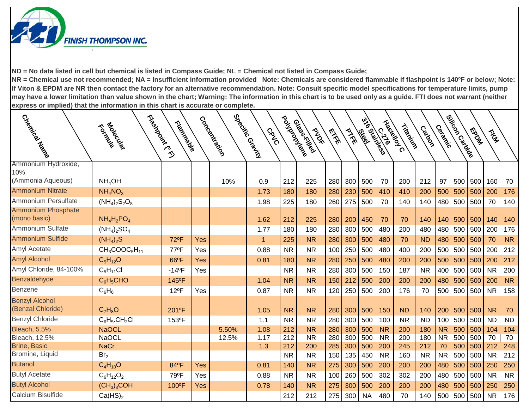

| Cyellical Track            | Fleeting Cr.<br>Tological           | Trigitation          |     | Concentration | Special Riodical<br><b>GRVO</b> | Poulaire Rece | Glass Killed<br><b>PAST</b> | <b>EXER</b> | PIKE | 316 States<br>les les | <b>0.270</b> | Liberaldy C<br>Trippin | Castoc    | Cermical  | Silicon Cardiale | <b>Mada</b> | They      |           |
|----------------------------|-------------------------------------|----------------------|-----|---------------|---------------------------------|---------------|-----------------------------|-------------|------|-----------------------|--------------|------------------------|-----------|-----------|------------------|-------------|-----------|-----------|
| Ammonium Hydroxide,<br>10% |                                     |                      |     |               |                                 |               |                             |             |      |                       |              |                        |           |           |                  |             |           |           |
| (Ammonia Aqueous)          | NH <sub>4</sub> OH                  |                      |     | 10%           | 0.9                             | 212           | 225                         | 280         | 300  | 500                   | 70           | 200                    | 212       | 97        | 500              | 500         | 160       | 70        |
| <b>Ammonium Nitrate</b>    | NH <sub>4</sub> NO <sub>3</sub>     |                      |     |               | 1.73                            | 180           | 180                         | 280         | 230  | 500                   | 410          | 410                    | 200       | 500       | 500              | 500         | 200       | 176       |
| Ammonium Persulfate        | $(NH_4)_2S_2O_8$                    |                      |     |               | 1.98                            | 225           | 180                         | 260         | 275  | 500                   | 70           | 140                    | 140       | 480       | 500              | 500         | 70        | 140       |
| <b>Ammonium Phosphate</b>  |                                     |                      |     |               |                                 |               |                             |             |      |                       |              |                        |           |           |                  |             |           |           |
| (mono basic)               | $NH_4H_2PO_4$                       |                      |     |               | 1.62                            | 212           | 225                         | 280         | 200  | 450                   | 70           | 70                     | 140       | 140       | 500              | 500         | 140       | 140       |
| Ammonium Sulfate           | $(NH_4)_2SO_4$                      |                      |     |               | 1.77                            | 180           | 180                         | 280         | 300  | 500                   | 480          | 200                    | 480       | 480       | 500              | 500         | 200       | 176       |
| <b>Ammonium Sulfide</b>    | $(NH_4)_2S$                         | 72°F                 | Yes |               | $\mathbf{1}$                    | 225           | <b>NR</b>                   | 280         | 300  | 500                   | 480          | 70                     | <b>ND</b> | 480       | 500              | 500         | 70        | <b>NR</b> |
| Amyl Acetate               | $CH3COOC5H11$                       | 77°F                 | Yes |               | 0.88                            | <b>NR</b>     | <b>NR</b>                   | 100         | 250  | 500                   | 480          | 400                    | 200       | 500       | 500              | 500         | 200       | 212       |
| <b>Amyl Alcohol</b>        | $C_5H_{12}O$                        | 66°F                 | Yes |               | 0.81                            | 180           | <b>NR</b>                   | 280         | 250  | 500                   | 480          | 200                    | 200       | 500       | 500              | 500         | 200       | 212       |
| Amyl Chloride, 84-100%     | $C_5H_{11}Cl$                       | $-14$ <sup>o</sup> F | Yes |               |                                 | <b>NR</b>     | <b>NR</b>                   | 280         | 300  | 500                   | 150          | 187                    | <b>NR</b> | 400       | 500              | 500         | <b>NR</b> | 200       |
| Benzaldehyde               | $C_6H_5CHO$                         | 145°F                |     |               | 1.04                            | <b>NR</b>     | <b>NR</b>                   | 150         | 212  | 500                   | 200          | 200                    | 200       | 480       | 500              | 500         | 200       | <b>NR</b> |
| Benzene                    | $C_6H_6$                            | 12°F                 | Yes |               | 0.87                            | <b>NR</b>     | <b>NR</b>                   | 120         | 250  | 500                   | 200          | 176                    | 70        | 500       | 500              | 500         | <b>NR</b> | 158       |
| <b>Benzyl Alcohol</b>      |                                     |                      |     |               |                                 |               |                             |             |      |                       |              |                        |           |           |                  |             |           |           |
| (Benzal Chloride)          | $C_7H_8O$                           | 201°F                |     |               | 1.05                            | <b>NR</b>     | <b>NR</b>                   | 280         | 300  | 500                   | 150          | <b>ND</b>              | 140       | 200       | 500              | 500         | <b>NR</b> | 70        |
| <b>Benzyl Chloride</b>     | $C_6H_5$ .CH <sub>2</sub> Cl        | 153°F                |     |               | 1.1                             | <b>NR</b>     | <b>NR</b>                   | 280         | 300  | 500                   | 100          | <b>NR</b>              | <b>ND</b> | 100       | 500              | 500         | <b>ND</b> | <b>ND</b> |
| <b>Bleach, 5.5%</b>        | <b>NaOCL</b>                        |                      |     | 5.50%         | 1.08                            | 212           | <b>NR</b>                   | 280         | 300  | 500                   | <b>NR</b>    | 200                    | 180       | <b>NR</b> | 500              | 500         | 104       | 104       |
| Bleach, 12.5%              | <b>NaOCL</b>                        |                      |     | 12.5%         | 1.17                            | 212           | <b>NR</b>                   | 280         | 300  | 500                   | <b>NR</b>    | 200                    | 180       | <b>NR</b> | 500              | 500         | 70        | 70        |
| <b>Brine, Basic</b>        | <b>NaCr</b>                         |                      |     |               | 1.3                             | 212           | 200                         | 285         | 300  | 500                   | 200          | 245                    | 212       | 70        | 500              | 500         | 212       | 248       |
| Bromine, Liquid            | Br <sub>2</sub>                     |                      |     |               |                                 | <b>NR</b>     | <b>NR</b>                   | 150         | 135  | 450                   | <b>NR</b>    | 160                    | <b>NR</b> | <b>NR</b> | 500              | 500         | <b>NR</b> | 212       |
| <b>Butanol</b>             | $C_4H_{10}O$                        | 84°F                 | Yes |               | 0.81                            | 140           | <b>NR</b>                   | 275         | 300  | 500                   | 200          | 200                    | 200       | 480       | 500              | 500         | 250       | 250       |
| <b>Butyl Acetate</b>       | $C_6H_{12}O_2$                      | 79°F                 | Yes |               | 0.88                            | <b>NR</b>     | <b>NR</b>                   | 100         | 260  | 500                   | 302          | 302                    | 200       | 480       | 500              | 500         | <b>NR</b> | <b>NR</b> |
| <b>Butyl Alcohol</b>       | (CH <sub>3</sub> ) <sub>3</sub> COH | 100°F                | Yes |               | 0.78                            | 140           | <b>NR</b>                   | 275         | 300  | 500                   | 200          | 200                    | 200       | 480       | 500              | 500         | 250       | 250       |
| Calcium Bisulfide          | Ca(HS) <sub>2</sub>                 |                      |     |               |                                 | 212           | 212                         | 275         | 300  | <b>NA</b>             | 480          | 70                     | 140       | 500       | 500              | 500         | <b>NR</b> | 176       |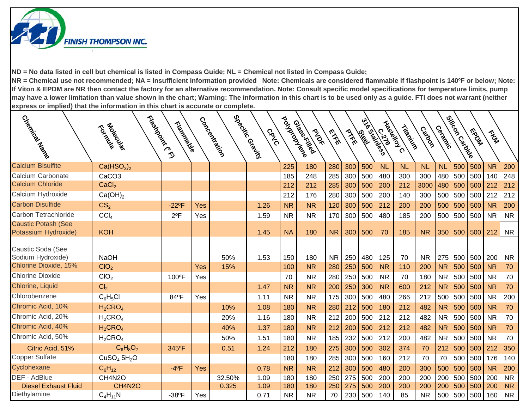

|                             |                                     |                      |     |              |                     |               |                            |           |      | wol     |            |           |           |           |                    |         |           |           |
|-----------------------------|-------------------------------------|----------------------|-----|--------------|---------------------|---------------|----------------------------|-----------|------|---------|------------|-----------|-----------|-----------|--------------------|---------|-----------|-----------|
|                             | Tologically                         | Trigitations of      |     |              | CRVC                |               | Glasskilled<br><b>PIDE</b> | EVEL      | PIKE | les les | Haspeloy C | Tripping  | Castoon   | Ceracke   |                    | MS DES  | They      |           |
| Creatives National          | Francisco Rei                       |                      |     | Coccocitives | Special Coral India | Pouyerousiere |                            |           |      |         | Cr.1/1655  |           |           |           | ejitoon<br>ejitoon |         |           |           |
| <b>Calcium Bisulfite</b>    | Ca(HSO <sub>3</sub> ) <sub>2</sub>  |                      |     |              |                     | 225           | 180                        | 280       | 300  | 500     | <b>NL</b>  | <b>NL</b> | <b>NL</b> | <b>NL</b> | 500                | 500     | <b>NR</b> | 200       |
| Calcium Carbonate           | CaCO <sub>3</sub>                   |                      |     |              |                     | 185           | 248                        | 285       | 300  | 500     | 480        | 300       | 300       | 480       | 500                | 500     | 140       | 248       |
| <b>Calcium Chloride</b>     | CaCl <sub>2</sub>                   |                      |     |              |                     | 212           | 212                        | 285       | 300  | 500     | 200        | 212       | 3000      | 480       | 500                | 500     | 212       | 212       |
| Calcium Hydroxide           | Ca(OH) <sub>2</sub>                 |                      |     |              |                     | 212           | 176                        | 280       | 300  | 500     | 200        | 140       | 300       | 500       | 500                | 500     | 212       | 212       |
| <b>Carbon Disulfide</b>     | CS <sub>2</sub>                     | $-22$ <sup>o</sup> F | Yes |              | 1.26                | <b>NR</b>     | <b>NR</b>                  | 120       | 300  | 500     | 212        | 200       | 200       | 500       | 500                | 500     | <b>NR</b> | 200       |
| Carbon Tetrachloride        | CCI <sub>A</sub>                    | $2^{\circ}F$         | Yes |              | 1.59                | <b>NR</b>     | <b>NR</b>                  | 170       | 300  | 500     | 480        | 185       | 200       | 500       | 500                | 500     | <b>NR</b> | <b>NR</b> |
| <b>Caustic Potash (See</b>  |                                     |                      |     |              |                     |               |                            |           |      |         |            |           |           |           |                    |         |           |           |
| Potassium Hydroxide)        | <b>KOH</b>                          |                      |     |              | 1.45                | <b>NA</b>     | 180                        | <b>NR</b> | 300  | 500     | 70         | 185       | <b>NR</b> | 350       | 500                | 500     | 212       | <b>NR</b> |
| Caustic Soda (See           |                                     |                      |     |              |                     |               |                            |           |      |         |            |           |           |           |                    |         |           |           |
| Sodium Hydroxide)           | <b>NaOH</b>                         |                      |     | 50%          | 1.53                | 150           | 180                        | <b>NR</b> | 250  | 480     | 125        | 70        | <b>NR</b> | 275       | 500                | 500 200 |           | <b>NR</b> |
| Chlorine Dioxide, 15%       | CIO <sub>2</sub>                    |                      | Yes | 15%          |                     | 100           | <b>NR</b>                  | 280       | 250  | 500     | <b>NR</b>  | 110       | 200       | <b>NR</b> | 500                | 500     | <b>NR</b> | 70        |
| <b>Chlorine Dioxide</b>     | CIO <sub>2</sub>                    | 100°F                | Yes |              |                     | 70            | <b>NR</b>                  | 280       | 250  | 500     | <b>NR</b>  | 70        | 180       | <b>NR</b> | 500                | 500     | <b>NR</b> | 70        |
| Chlorine, Liquid            | Cl <sub>2</sub>                     |                      |     |              | 1.47                | <b>NR</b>     | <b>NR</b>                  | 200       | 250  | 300     | <b>NR</b>  | 600       | 212       | <b>NR</b> | 500                | 500     | <b>NR</b> | 70        |
| Chlorobenzene               | $C_6H_5Cl$                          | 84°F                 | Yes |              | 1.11                | <b>NR</b>     | <b>NR</b>                  | 175       | 300  | 500     | 480        | 266       | 212       | 500       | 500                | 500     | <b>NR</b> | 200       |
| Chromic Acid, 10%           | $H_2$ CRO <sub>4</sub>              |                      |     | 10%          | 1.08                | 180           | <b>NR</b>                  | 280       | 212  | 500     | 180        | 212       | 482       | <b>NR</b> | 500                | 500     | <b>NR</b> | 70        |
| Chromic Acid, 20%           | $H_2$ CRO <sub>4</sub>              |                      |     | 20%          | 1.16                | 180           | <b>NR</b>                  | 212       | 200  | 500     | 212        | 212       | 482       | <b>NR</b> | 500                | 500     | <b>NR</b> | 70        |
| Chromic Acid, 40%           | $H_2$ CRO <sub>4</sub>              |                      |     | 40%          | 1.37                | 180           | <b>NR</b>                  | 212       | 200  | 500     | 212        | 212       | 482       | <b>NR</b> | 500                | 500     | <b>NR</b> | 70        |
| Chromic Acid, 50%           | $H_2$ CRO <sub>4</sub>              |                      |     | 50%          | 1.51                | 180           | <b>NR</b>                  | 185       | 232  | 500     | 212        | 200       | 482       | <b>NR</b> | 500                | 500     | <b>NR</b> | 70        |
| Citric Acid, 51%            | $C_6H_8O_7$                         | 345°F                |     | 0.51         | 1.24                | 212           | 180                        | 275       | 300  | 500     | 302        | 374       | 70        | 212       | 500                | 500     | 212       | 350       |
| <b>Copper Sulfate</b>       | CuSO <sub>4</sub> 5H <sub>2</sub> O |                      |     |              |                     | 180           | 180                        | 285       | 300  | 500     | 160        | 212       | 70        | 70        | 500                | 500     | 176       | 140       |
| Cyclohexane                 | $C_6H_{12}$                         | $-4$ <sup>o</sup> F  | Yes |              | 0.78                | <b>NR</b>     | <b>NR</b>                  | 212       | 300  | 500     | 480        | 200       | 300       | 500       | 500                | 500     | <b>NR</b> | 200       |
| <b>DEF - AdBlue</b>         | CH4N2O                              |                      |     | 32.50%       | 1.09                | 180           | 180                        | 250       | 275  | 500     | 200        | 200       | 200       | 200       | 500                | 500     | 200       | <b>NR</b> |
| <b>Diesel Exhaust Fluid</b> | <b>CH4N2O</b>                       |                      |     | 0.325        | 1.09                | 180           | 180                        | 250       | 275  | 500     | 200        | 200       | 200       | 200       | 500                | 500     | 200       | <b>NR</b> |
| Diethylamine                | $C_4H_{11}N$                        | $-38$ <sup>o</sup> F | Yes |              | 0.71                | <b>NR</b>     | <b>NR</b>                  | 70        | 230  | 500     | 140        | 85        | <b>NR</b> | 500       | 500                | 500     | 160       | <b>NR</b> |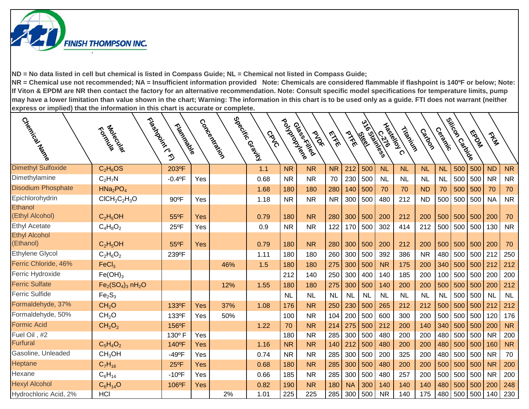

|                           |                                  |                      |     |              | CRVC        |                  | <b>PIDE</b>  | <b>EXE</b> | PIKE      | les les    | <b>0.750</b> |           | Catoon    | Cermical  |            | Madas       | Trans     |           |
|---------------------------|----------------------------------|----------------------|-----|--------------|-------------|------------------|--------------|------------|-----------|------------|--------------|-----------|-----------|-----------|------------|-------------|-----------|-----------|
| Chemical Harre            | Flosterdoors.com<br>Tological    | Tripidación          |     | Coccocitives | 5980'sisico | Politically rece | Glass Killed |            |           | 516 States | Liberelloy C | Tripping  |           |           | esikoocoko |             |           |           |
|                           |                                  |                      |     |              |             |                  |              |            |           |            |              |           |           |           |            |             |           |           |
| <b>Dimethyl Sulfoxide</b> | $C_2H_6OS$                       | 203°F                |     |              | 1.1         | <b>NR</b>        | <b>NR</b>    | <b>NR</b>  | 212       | 500        | <b>NL</b>    | <b>NL</b> | <b>NL</b> | <b>NL</b> | 500        | 500         | <b>ND</b> | <b>NR</b> |
| Dimethylamine             | $C_2H_7N$                        | $-0.4^{\circ}F$      | Yes |              | 0.68        | <b>NR</b>        | <b>NR</b>    | 70         | 230       | 500        | <b>NL</b>    | <b>NL</b> | <b>NL</b> | <b>NL</b> | 500        | 500         | <b>NR</b> | <b>NR</b> |
| <b>Disodium Phosphate</b> | HNa <sub>2</sub> PO <sub>4</sub> |                      |     |              | 1.68        | 180              | 180          | 280        | 140       | 500        | 70           | 70        | <b>ND</b> | 70        | 500        | 500         | 70        | 70        |
| Epichlorohydrin           | $CICH2C2H3O$                     | 90°F                 | Yes |              | 1.18        | <b>NR</b>        | <b>NR</b>    | <b>NR</b>  | 300       | 500        | 480          | 212       | <b>ND</b> | 500       | 500        | 500         | <b>NA</b> | <b>NR</b> |
| Ethanol                   |                                  |                      |     |              |             |                  |              |            |           |            |              |           |           |           |            |             |           |           |
| (Ethyl Alcohol)           | $C_2H_5OH$                       | 55°F                 | Yes |              | 0.79        | 180              | <b>NR</b>    | 280        | 300       | 500        | 200          | 212       | 200       | 500       | 500        | 500         | 200       | 70        |
| <b>Ethyl Acetate</b>      | $C_4H_8O_2$                      | 25°F                 | Yes |              | 0.9         | <b>NR</b>        | <b>NR</b>    | 122        | 170       | 500        | 302          | 414       | 212       | 500       | 500        | 500         | 130       | <b>NR</b> |
| <b>Ethyl Alcohol</b>      |                                  |                      |     |              |             |                  |              |            |           |            |              |           |           |           |            |             |           |           |
| (Ethanol)                 | $C_2H_5OH$                       | 55°F                 | Yes |              | 0.79        | 180              | <b>NR</b>    | 280        | 300       | 500        | 200          | 212       | 200       | 500       | 500        | 500         | 200       | 70        |
| Ethylene Glycol           | $C_2H_6O_2$                      | 239°F                |     |              | 1.11        | 180              | 180          | 260        | 300       | 500        | 392          | 386       | <b>NR</b> | 480       | 500        | 500         | 212       | 250       |
| Ferric Chloride, 46%      | FeCl <sub>3</sub>                |                      |     | 46%          | 1.5         | 180              | 180          | 275        | 300       | 500        | <b>NR</b>    | 175       | 200       | 340       | 500        | 500         | 212       | 212       |
| Ferric Hydroxide          | $Fe(OH)_3$                       |                      |     |              |             | 212              | 140          | 250        | 300       | 400        | 140          | 185       | 200       | 100       | 500        | 500         | 200       | 200       |
| <b>Ferric Sulfate</b>     | $Fe2(SO4)3 nH2O$                 |                      |     | 12%          | 1.55        | 180              | 180          | 275        | 300       | 500        | 140          | 200       | 200       | 500       | 500        | 500         | 200       | 212       |
| <b>Ferric Sulfide</b>     | Fe <sub>2</sub> S <sub>3</sub>   |                      |     |              |             | <b>NL</b>        | <b>NL</b>    | <b>NL</b>  | <b>NL</b> | <b>NL</b>  | <b>NL</b>    | <b>NL</b> | <b>NL</b> | <b>NL</b> | 500        | 500         | <b>NL</b> | NL        |
| Formaldehyde, 37%         | CH <sub>2</sub> O                | 133°F                | Yes | 37%          | 1.08        | 176              | <b>NR</b>    | 250        | 230       | 500        | 265          | 212       | 212       | 500       | 500        | 500         | 212       | 212       |
| Formaldehyde, 50%         | CH <sub>2</sub> O                | 133°F                | Yes | 50%          |             | 100              | <b>NR</b>    | 104        | 200       | 500        | 600          | 300       | 200       | 500       | 500        | 500         | 120       | 176       |
| <b>Formic Acid</b>        | CH <sub>2</sub> O <sub>2</sub>   | 156°F                |     |              | 1.22        | 70               | <b>NR</b>    | 214        | 275       | 500        | 212          | 200       | 140       | 340       | 500        | 500         | 200       | <b>NR</b> |
| Fuel Oil, #2              |                                  | 130° F               | Yes |              |             | 180              | <b>NR</b>    | 285        | 300       | 500        | 480          | 200       | 200       | 480       | 500        | 500         | <b>NR</b> | 200       |
| <b>Furfural</b>           | $C_5H_4O_2$                      | 140°F                | Yes |              | 1.16        | <b>NR</b>        | <b>NR</b>    | 140        | 212       | 500        | 480          | 200       | 200       | 480       | 500        | 500         | 160       | <b>NR</b> |
| Gasoline, Unleaded        | CH <sub>3</sub> OH               | $-49^{\circ}F$       | Yes |              | 0.74        | <b>NR</b>        | <b>NR</b>    | 285        | 300       | 500        | 200          | 325       | 200       | 480       | 500        | 500         | <b>NR</b> | 70        |
| Heptane                   | $C_7H_{16}$                      | $25^{\circ}F$        | Yes |              | 0.68        | 180              | <b>NR</b>    | 285        | 300       | 500        | 480          | 200       | 200       | 500       | 500        | 500         | <b>NR</b> | 200       |
| Hexane                    | $C_6H_{14}$                      | $-10$ <sup>o</sup> F | Yes |              | 0.66        | 185              | <b>NR</b>    | 285        | 300       | 500        | 480          | 257       | 200       | 500       | 500        | 500         | <b>NR</b> | 200       |
| <b>Hexyl Alcohol</b>      | $C_6H_{14}O$                     | 106°F                | Yes |              | 0.82        | 190              | <b>NR</b>    | 180        | <b>NA</b> | 300        | 140          | 140       | 140       | 480       | 500        | 500         | 200       | 248       |
| Hydrochloric Acid, 2%     | HCI                              |                      |     | 2%           | 1.01        | 225              | 225          | 285        | 300       | 500        | <b>NR</b>    | 140       | 175       |           |            | 480 500 500 | 140       | 230       |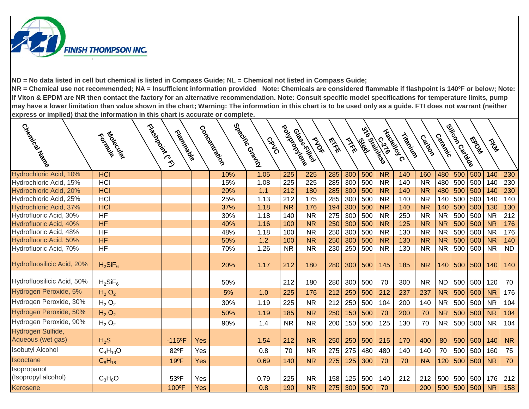

| Creek Rival                                      | Modecules.<br>RONDER   | Fleeting October<br>Trigitive Rights |            | Coccoccoccoccocco | Special Crains<br><b>GRVG</b> | Pouyar odys <sub>ko</sub> | Glasskilled<br><b>PIDE</b> | EXE        | PTFE       | ಀೢೢ<br>les les | SSIDNESS<br>130        | Hasitely C<br>Tripped | Castoon                | Ceracke                | Silicon Carios | <b>FOOD</b> | $\hat{\tau}_{\mathbf{z}_p}$ |                  |
|--------------------------------------------------|------------------------|--------------------------------------|------------|-------------------|-------------------------------|---------------------------|----------------------------|------------|------------|----------------|------------------------|-----------------------|------------------------|------------------------|----------------|-------------|-----------------------------|------------------|
| Hydrochloric Acid, 10%                           | <b>HCI</b>             |                                      |            | 10%               | 1.05                          | 225                       | 225                        | 285        | 300        | 500            | <b>NR</b>              | 140                   | 160                    | 480                    | 500            | 500         | 140                         | 230              |
| Hydrochloric Acid, 15%                           | <b>HCI</b>             |                                      |            | 15%               | 1.08                          | 225                       | 225                        | 285        | 300        | 500            | <b>NR</b>              | 140                   | <b>NR</b>              | 480                    | 500            | 500         | 140                         | 230              |
| Hydrochloric Acid, 20%                           | <b>HCI</b>             |                                      |            | 20%               | 1.1                           | 212                       | 180                        | 285        | 300        | 500            | <b>NR</b>              | 140                   | <b>NR</b>              | 480                    | 500            | 500         | 140                         | 230              |
| Hydrochloric Acid, 25%                           | <b>HCI</b>             |                                      |            | 25%               | 1.13                          | 212                       | 175                        | 285        | 300        | 500            | <b>NR</b>              | 140                   | <b>NR</b>              | 140                    | 500            | 500         | 140                         | 140              |
| Hydrochloric Acid, 37%                           | <b>HCI</b>             |                                      |            | 37%               | 1.18                          | <b>NR</b>                 | 176                        | 194        | 300        | 500            | <b>NR</b>              | 140                   | <b>NR</b>              | 140                    | 500            | 500         | 130                         | 130              |
| Hydrofluoric Acid, 30%                           | <b>HF</b>              |                                      |            | 30%               | 1.18                          | 140                       | <b>NR</b>                  | 275        | 300        | 500            | <b>NR</b>              | 250                   | <b>NR</b>              | <b>NR</b>              | 500            | 500         | <b>NR</b>                   | 212              |
| Hydrofluoric Acid, 40%                           | <b>HF</b>              |                                      |            | 40%               | 1.16                          | 100                       | <b>NR</b>                  | 250        | 300        | 500            | <b>NR</b>              | 125                   | <b>NR</b>              | <b>NR</b>              | 500            | 500         | <b>NR</b>                   | 176              |
| Hydrofluoric Acid, 48%                           | <b>HF</b>              |                                      |            | 48%               | 1.18                          | 100                       | <b>NR</b>                  | 250        | 300        | 500            | <b>NR</b>              | 130                   | <b>NR</b>              | <b>NR</b>              | 500            | 500         | <b>NR</b>                   | 176              |
| Hydrofluoric Acid, 50%<br>Hydrofluoric Acid, 70% | <b>HF</b><br><b>HF</b> |                                      |            | 50%<br>70%        | 1.2<br>1.26                   | 100<br><b>NR</b>          | <b>NR</b><br><b>NR</b>     | 250<br>230 | 300<br>250 | 500<br>500     | <b>NR</b><br><b>NR</b> | 130<br>130            | <b>NR</b><br><b>NR</b> | <b>NR</b><br><b>NR</b> | 500<br>500     | 500<br>500  | <b>NR</b><br><b>NR</b>      | 140<br><b>ND</b> |
| Hydrofluosilicic Acid, 20%                       | $H_2SiF_6$             |                                      |            | 20%               | 1.17                          | 212                       | 180                        | 280        | 300        | 500            | 145                    | 185                   | <b>NR</b>              | 140                    | 500            | 500         | 140                         | 140              |
| Hydrofluosilicic Acid, 50%                       | $H_2$ Si $F_6$         |                                      |            | 50%               |                               | 212                       | 180                        | 280        | 300        | 500            | 70                     | 300                   | <b>NR</b>              | <b>ND</b>              | 500            | 500         | 120                         | 70               |
| Hydrogen Peroxide, 5%                            | $H_2 O_2$              |                                      |            | 5%                | 1.0                           | 225                       | 176                        | 212        | 250        | 500            | 212                    | 237                   | 237                    | <b>NR</b>              | 500            | 500         | <b>NR</b>                   | 176              |
| Hydrogen Peroxide, 30%                           | $H_2 O_2$              |                                      |            | 30%               | 1.19                          | 225                       | <b>NR</b>                  | 212        | 250        | 500            | 104                    | 200                   | 140                    | <b>NR</b>              | 500            | 500         | <b>NR</b>                   | 104              |
| Hydrogen Peroxide, 50%                           | $H_2 O_2$              |                                      |            | 50%               | 1.19                          | 185                       | <b>NR</b>                  | 250        | 150        | 500            | 70                     | 200                   | 70                     | <b>NR</b>              | 500            | 500         | <b>NR</b>                   | 104              |
| Hydrogen Peroxide, 90%                           | $H_2 O_2$              |                                      |            | 90%               | 1.4                           | <b>NR</b>                 | <b>NR</b>                  | 200        | 150        | 500            | 125                    | 130                   | 70                     | <b>NR</b>              | 500            | 500         | <b>NR</b>                   | 104              |
| Hydrogen Sulfide,<br>Aqueous (wet gas)           | $H_2S$                 | $-116$ <sup>o</sup> F                | <b>Yes</b> |                   | 1.54                          | 212                       | <b>NR</b>                  | 250        | 250        | 500            | 215                    | 170                   | 400                    | 80                     | 500            | 500         | 140                         | <b>NR</b>        |
| <b>Isobutyl Alcohol</b>                          | $C_4H_{10}O$           | 82°F                                 | Yes        |                   | 0.8                           | 70                        | <b>NR</b>                  | 275        | 275        | 480            | 480                    | 140                   | 140                    | 70                     | 500            | 500         | 160                         | 75               |
| <b>Isooctane</b>                                 | $C_8H_{18}$            | 19°F                                 | Yes        |                   | 0.69                          | 140                       | <b>NR</b>                  | 275        | 125        | 300            | 70                     | 70                    | <b>NA</b>              | 120                    | 500            | 500         | <b>NR</b>                   | 70               |
| Isopropanol<br>(Isopropyl alcohol)               | $C_3H_8O$              | 53°F                                 | Yes        |                   | 0.79                          | 225                       | <b>NR</b>                  | 158        | 125        | 500            | 140                    | 212                   | 212                    | 500                    | 500            | 500         | 176                         | 212              |
| Kerosene                                         |                        | 100°F                                | <b>Yes</b> |                   | 0.8                           | 190                       | <b>NR</b>                  | 275        | 300        | 500            | 70                     |                       | 200                    | 500                    | 500            | 500         | <b>NR</b>                   | 158              |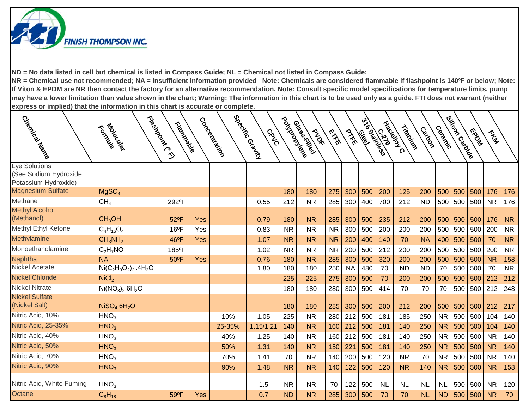

| Creek.<br>Creek                                                 | Formals River                       | Tripicalistics |     | Concentration | Special Crains I<br>CRVO | Pouyarousiere | Glass Killed<br><b>PAST</b> | <b>EXER</b> | PIFE      | 3-16 States<br>les les | Liberaldy C<br>$\frac{1}{2}$ | Tripped   | Casico    | Cermical  | ejikoor<br>ejikoor | <b>FROCK</b> | They      |           |
|-----------------------------------------------------------------|-------------------------------------|----------------|-----|---------------|--------------------------|---------------|-----------------------------|-------------|-----------|------------------------|------------------------------|-----------|-----------|-----------|--------------------|--------------|-----------|-----------|
| Lye Solutions<br>(See Sodium Hydroxide,<br>Potassium Hydroxide) |                                     |                |     |               |                          |               |                             |             |           |                        |                              |           |           |           |                    |              |           |           |
| <b>Magnesium Sulfate</b>                                        | MgSO <sub>4</sub>                   |                |     |               |                          | 180           | 180                         | 275         | 300       | 500                    | 200                          | 125       | 200       | 500       | 500                | 500          | 176       | 176       |
| Methane                                                         | CH <sub>4</sub>                     | 292°F          |     |               | 0.55                     | 212           | <b>NR</b>                   | 285         | 300       | 400                    | 700                          | 212       | <b>ND</b> | 500       | 500                | 500          | <b>NR</b> | 176       |
| <b>Methyl Alcohol</b><br>(Methanol)                             | CH <sub>3</sub> OH                  | 52°F           | Yes |               | 0.79                     | 180           | <b>NR</b>                   | 285         | 300       | 500                    | 235                          | 212       | 200       | 500       | 500                | 500          | 176       | <b>NR</b> |
| Methyl Ethyl Ketone                                             | $C_4H_{16}O_4$                      | $16^{\circ}F$  | Yes |               | 0.83                     | <b>NR</b>     | <b>NR</b>                   | <b>NR</b>   | 300       | 500                    | 200                          | 200       | 200       | 500       | 500                | 500          | 200       | <b>NR</b> |
| Methylamine                                                     | CH <sub>3</sub> NH <sub>2</sub>     | 46°F           | Yes |               | 1.07                     | <b>NR</b>     | <b>NR</b>                   | <b>NR</b>   | 200       | 400                    | 140                          | 70        | <b>NA</b> | 400       | 500                | 500          | 70        | <b>NR</b> |
| Monoethanolamine                                                | $C_2H_7NO$                          | 185°F          |     |               | 1.02                     | <b>NR</b>     | <b>NR</b>                   | <b>NR</b>   | 200       | 500                    | 212                          | 200       | 200       | 500       | 500                | 500          | 200       | <b>NR</b> |
| <b>Naphtha</b>                                                  | <b>NA</b>                           | 50°F           | Yes |               | 0.76                     | 180           | <b>NR</b>                   | 285         | 300       | 500                    | 320                          | 200       | 200       | 500       | 500                | 500          | <b>NR</b> | 158       |
| <b>Nickel Acetate</b>                                           | $Ni(C_2H_3O_2)_2.4H_2O$             |                |     |               | 1.80                     | 180           | 180                         | 250         | <b>NA</b> | 480                    | 70                           | <b>ND</b> | <b>ND</b> | 70        | 500                | 500          | 70        | <b>NR</b> |
| <b>Nickel Chloride</b>                                          | NiCl <sub>2</sub>                   |                |     |               |                          | 225           | 225                         | 275         | 300       | 500                    | 70                           | 200       | 200       | 500       | 500                | 500          | 212       | 212       |
| <b>Nickel Nitrate</b>                                           | $Ni(NO3)2 6H2O$                     |                |     |               |                          | 180           | 180                         | 280         | 300       | 500                    | 414                          | 70        | 70        | 70        | 500                | 500          | 212       | 248       |
| <b>Nickel Sulfate</b><br>(Nickel Salt)                          | NISO <sub>4</sub> 6H <sub>2</sub> O |                |     |               |                          | 180           | 180                         | 285         | 300       | 500                    | 200                          | 212       | 200       | 500       | 500                | 500          | 212       | 217       |
| Nitric Acid, 10%                                                | HNO <sub>3</sub>                    |                |     | 10%           | 1.05                     | 225           | <b>NR</b>                   | 280         | 212       | 500                    | 181                          | 185       | 250       | <b>NR</b> | 500                | 500 104      |           | 140       |
| Nitric Acid, 25-35%                                             | HNO <sub>3</sub>                    |                |     | 25-35%        | 1.15/1.21                | 140           | <b>NR</b>                   | 160         | 212       | 500                    | 181                          | 140       | 250       | <b>NR</b> | 500                | 500          | 104       | 140       |
| Nitric Acid, 40%                                                | HNO <sub>3</sub>                    |                |     | 40%           | 1.25                     | 140           | <b>NR</b>                   | 160         | 212       | 500                    | 181                          | 140       | 250       | <b>NR</b> | 500                | 500          | <b>NR</b> | 140       |
| Nitric Acid, 50%                                                | HNO <sub>3</sub>                    |                |     | 50%           | 1.31                     | 140           | <b>NR</b>                   | 150         | 221       | 500                    | 181                          | 140       | 250       | <b>NR</b> | 500                | 500          | <b>NR</b> | 140       |
| Nitric Acid, 70%                                                | HNO <sub>3</sub>                    |                |     | 70%           | 1.41                     | 70            | <b>NR</b>                   | 140         | 200       | 500                    | 120                          | <b>NR</b> | 70        | <b>NR</b> | 500                | 500          | <b>NR</b> | 140       |
| Nitric Acid, 90%                                                | HNO <sub>3</sub>                    |                |     | 90%           | 1.48                     | <b>NR</b>     | <b>NR</b>                   | 140         | 122       | 500                    | 120                          | <b>NR</b> | 140       | <b>NR</b> | 500                | 500          | <b>NR</b> | 158       |
| Nitric Acid, White Fuming<br>Octane                             | HNO <sub>3</sub>                    |                |     |               | 1.5                      | <b>NR</b>     | <b>NR</b>                   | 70          | 122       | 500                    | <b>NL</b>                    | <b>NL</b> | <b>NL</b> | <b>NL</b> | 500                | 500          | <b>NR</b> | 120       |
|                                                                 | $C_8H_{18}$                         | 59°F           | Yes |               | 0.7                      | <b>ND</b>     | <b>NR</b>                   | 285         | 300       | 500                    | 70                           | 70        | <b>NL</b> | <b>ND</b> | 500                | 500          | <b>NR</b> | 70        |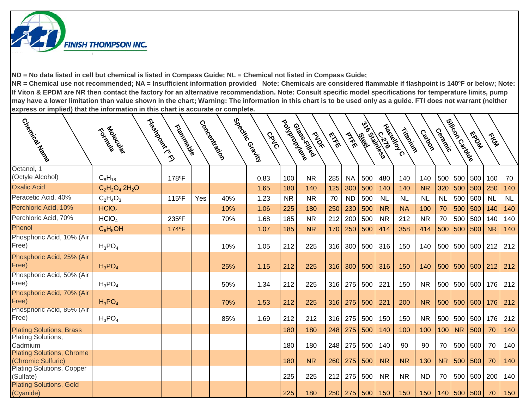

| Creeks Ricards                                                   | Flosherdore<br>Formals Richard | Trigitation |     | Concentialism | Specing Grain I<br>CRVO | Poulação   | Glass Killed<br><b>PAST</b> | EXE        | PIFE       | 3/16 Stations<br>1661 | Hasical C<br>$\widetilde{\mathcal{E}}'$ | Tripping  | Catoon    | Cerack    | ejikoor<br>ejikoor | To DOM     | Trans     |            |
|------------------------------------------------------------------|--------------------------------|-------------|-----|---------------|-------------------------|------------|-----------------------------|------------|------------|-----------------------|-----------------------------------------|-----------|-----------|-----------|--------------------|------------|-----------|------------|
| Octanol, 1                                                       |                                |             |     |               |                         |            |                             |            |            |                       |                                         |           |           |           |                    |            |           |            |
| (Octyle Alcohol)                                                 | $C_8H_{18}$                    | 178°F       |     |               | 0.83                    | 100        | <b>NR</b>                   | 285        | <b>NA</b>  | 500                   | 480                                     | 140       | 140       | 500       | 500                | 500        | 160       | 70         |
| <b>Oxalic Acid</b>                                               | $C_2H_2O_4 2H_2O$              |             |     |               | 1.65                    | 180        | 140                         | 125        | 300        | 500                   | 140                                     | 140       | <b>NR</b> | 320       | 500                | 500        | 250       | 140        |
| Peracetic Acid, 40%                                              | $C_2H_4O_3$                    | 115°F       | Yes | 40%           | 1.23                    | <b>NR</b>  | <b>NR</b>                   | 70         | <b>ND</b>  | 500                   | <b>NL</b>                               | <b>NL</b> | <b>NL</b> | <b>NL</b> | 500                | 500        | <b>NL</b> | <b>NL</b>  |
| Perchloric Acid, 10%                                             | HCIO <sub>4</sub>              |             |     | 10%           | 1.06                    | 225        | 180                         | 250        | 230        | 500                   | <b>NR</b>                               | <b>NA</b> | 100       | 70        | 500                | 500        | 140       | 140        |
| Perchloric Acid, 70%                                             | HCIO <sub>4</sub>              | 235°F       |     | 70%           | 1.68                    | 185        | <b>NR</b>                   | 212        | 200        | 500                   | <b>NR</b>                               | 212       | <b>NR</b> | 70        | 500                | 500        | 140       | 140        |
| Phenol                                                           | $C_6H_5OH$                     | 174°F       |     |               | 1.07                    | 185        | <b>NR</b>                   | 170        | 250        | 500                   | 414                                     | 358       | 414       | 500       | 500                | 500        | <b>NR</b> | 140        |
| Phosphoric Acid, 10% (Air<br>Free)                               | $H_3PO_4$                      |             |     | 10%           | 1.05                    | 212        | 225                         | 316        | 300        | 500                   | 316                                     | 150       | 140       |           | 500 500            | 500 212    |           | 212        |
| Phosphoric Acid, 25% (Air<br>Free)                               | $H_3PO_4$                      |             |     | 25%           | 1.15                    | 212        | 225                         | 316        | 300        | 500                   | 316                                     | 150       | 140       | 500       | 500                | 500        | 212       | 212        |
| Phosphoric Acid, 50% (Air<br>Free)                               | $H_3PO_4$                      |             |     | 50%           | 1.34                    | 212        | 225                         | 316        | 275        | 500                   | 221                                     | 150       | <b>NR</b> | 500       | 500                | 500        | 176       | 212        |
| Phosphoric Acid, 70% (Air<br>Free)                               | $H_3PO_4$                      |             |     | 70%           | 1.53                    | 212        | 225                         | 316        | 275        | 500                   | 221                                     | 200       | <b>NR</b> | 500       | 500                | 500        | 176       | 212        |
| Phosphoric Acid, 85% (Air<br>Free)                               | $H_3PO_4$                      |             |     | 85%           | 1.69                    | 212        | 212                         | 316        | 275        | 500                   | 150                                     | 150       | <b>NR</b> | 500       | 500                | 500        | 176       | 212        |
| <b>Plating Solutions, Brass</b><br>Plating Solutions,<br>Cadmium |                                |             |     |               |                         | 180<br>180 | 180<br>180                  | 248<br>248 | 275<br>275 | 500<br>500            | 140<br>140                              | 100<br>90 | 100<br>90 | 100<br>70 | <b>NR</b><br>500   | 500<br>500 | 70<br>70  | 140<br>140 |
| <b>Plating Solutions, Chrome</b><br>(Chromic Sulfuric)           |                                |             |     |               |                         | 180        | <b>NR</b>                   | 260        | 275        | 500                   | <b>NR</b>                               | <b>NR</b> | 130       | NR        | 500                | 500        | 70        | 140        |
| <b>Plating Solutions, Copper</b><br>(Sulfate)                    |                                |             |     |               |                         | 225        | 225                         | 212        | 275        | 500                   | <b>NR</b>                               | <b>NR</b> | <b>ND</b> | 70        | 500                | 500        | 200       | 140        |
| <b>Plating Solutions, Gold</b><br>(Cyanide)                      |                                |             |     |               |                         | 225        | 180                         | 250        | 275        | 500                   | 150                                     | 150       | 150       |           | 140 500 500        |            | 70        | 150        |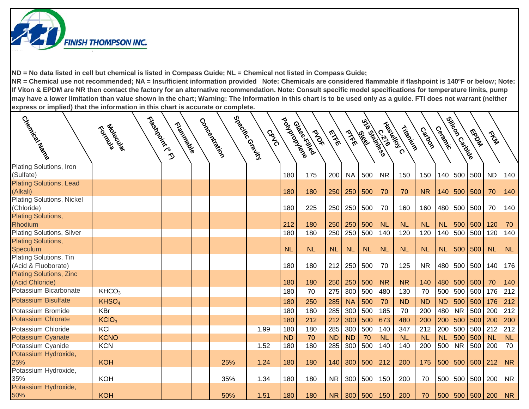

| Clapance Marco                                                         | Francisco<br>Foldowich | Tripidation | Concertistics | Special Grains I<br>CRVC | poulations | Glass Killed<br><b>PAST</b> | EXE       | PTFE      | lee le    | 3-16 53/3/2655<br>$\frac{2}{3}$ | Haskeloy C<br>Tripping | Castoon   | Cerack    | ejitoon<br>ejitoon | MS DA       | They        |           |
|------------------------------------------------------------------------|------------------------|-------------|---------------|--------------------------|------------|-----------------------------|-----------|-----------|-----------|---------------------------------|------------------------|-----------|-----------|--------------------|-------------|-------------|-----------|
| Plating Solutions, Iron<br>(Sulfate)<br><b>Plating Solutions, Lead</b> |                        |             |               |                          | 180        | 175                         | 200       | <b>NA</b> | 500       | <b>NR</b>                       | 150                    | 150       | 140       | 500                | 500         | <b>ND</b>   | 140       |
| (Alkali)                                                               |                        |             |               |                          | 180        | 180                         | 250       | 250       | 500       | 70                              | 70                     | <b>NR</b> | 140       | 500                | 500         | 70          | 140       |
| <b>Plating Solutions, Nickel</b><br>(Chloride)                         |                        |             |               |                          | 180        | 225                         | 250       | 250       | 500       | 70                              | 160                    | 160       | 480       | 500                | 500         | 70          | 140       |
| <b>Plating Solutions,</b><br>Rhodium                                   |                        |             |               |                          | 212        | 180                         | 250       | 250       | 500       | <b>NL</b>                       | <b>NL</b>              | <b>NL</b> | <b>NL</b> | 500                | 500         | 120         | 70        |
| <b>Plating Solutions, Silver</b><br><b>Plating Solutions,</b>          |                        |             |               |                          | 180        | 180                         | 250       | 250       | 500       | 140                             | 120                    | 120       | 140       | 500                | 500         | 120         | 140       |
| Speculum                                                               |                        |             |               |                          | <b>NL</b>  | <b>NL</b>                   | <b>NL</b> | <b>NL</b> | <b>NL</b> | <b>NL</b>                       | <b>NL</b>              | <b>NL</b> | <b>NL</b> |                    | 500 500     | <b>NL</b>   | NL        |
| Plating Solutions, Tin<br>(Acid & Fluoborate)                          |                        |             |               |                          | 180        | 180                         | 212       | 250       | 500       | 70                              | 125                    | <b>NR</b> | 480       | 500                | 500         | 140         | 176       |
| <b>Plating Solutions, Zinc</b><br>(Acid Chloride)                      |                        |             |               |                          | 180        | 180                         | 250       | 250       | 500       | <b>NR</b>                       | <b>NR</b>              | 140       | 480       | 500                | 500         | 70          | 140       |
| Potassium Bicarbonate                                                  | KHCO <sub>3</sub>      |             |               |                          | 180        | 70                          | 275       | 300       | 500       | 480                             | 130                    | 70        | 500       | 500                | 500         | 176         | 212       |
| <b>Potassium Bisulfate</b>                                             | KHSO <sub>4</sub>      |             |               |                          | 180        | 250                         | 285       | <b>NA</b> | 500       | 70                              | <b>ND</b>              | <b>ND</b> | <b>ND</b> | 500                | 500         | 176         | 212       |
| Potassium Bromide                                                      | <b>KBr</b>             |             |               |                          | 180        | 180                         | 285       | 300       | 500       | 185                             | 70                     | 200       | 480       | <b>NR</b>          | 500         | 200         | 212       |
| <b>Potassium Chlorate</b>                                              | KCIO <sub>3</sub>      |             |               |                          | 180        | 212                         | 212       | 300       | 500       | 673                             | 480                    | 200       | 200       | 500                | 500         | $\vert$ 200 | 200       |
| Potassium Chloride                                                     | KCI                    |             |               | 1.99                     | 180        | 180                         | 285       | 300       | 500       | 140                             | 347                    | 212       | 200       | 500                | 500 212     |             | 212       |
| <b>Potassium Cyanate</b>                                               | <b>KCNO</b>            |             |               |                          | <b>ND</b>  | 70                          | <b>ND</b> | <b>ND</b> | 70        | <b>NL</b>                       | <b>NL</b>              | <b>NL</b> | <b>NL</b> | 500                | 500         | <b>NL</b>   | <b>NL</b> |
| Potassium Cyanide                                                      | <b>KCN</b>             |             |               | 1.52                     | 180        | 180                         | 285       | 300       | 500       | 140                             | 140                    | 200       | 500       | <b>NR</b>          | 500         | 200         | 70        |
| Potassium Hydroxide,<br>25%                                            | <b>KOH</b>             |             | 25%           | 1.24                     | 180        | 180                         | 140       | 300       | 500       | 212                             | 200                    | 175       | 500       |                    | 500 500 212 |             | <b>NR</b> |
| Potassium Hydroxide,<br>35%                                            | <b>KOH</b>             |             | 35%           | 1.34                     | 180        | 180                         | <b>NR</b> | 300       | 500       | 150                             | 200                    | 70        |           | 500 500 500 200    |             |             | <b>NR</b> |
| Potassium Hydroxide,<br>50%                                            | <b>KOH</b>             |             | 50%           | 1.51                     | 180        | 180                         | <b>NR</b> |           | 300   500 | 150                             | 200                    | 70        |           | 500 500 500 200    |             |             | <b>NR</b> |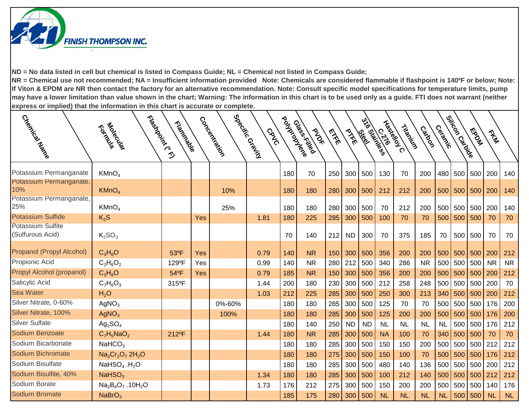

| Creek<br>Creek                                            | Floshedorer (P. P. R.<br>Tological   | Trigitation of |            | Concentialion | Special Crains<br>CRVO | Pouyarousiere | Glass Killed<br><b>PAST</b> | <b>EXER</b> | PIKE      | 3/16 5/26 55<br>les les | Liberaldy C<br>$\frac{2}{3}$ | Tripping  | Castoon   | Cermical  | ejitcon<br>ejitcon | <b>FOOD</b> | They      |           |
|-----------------------------------------------------------|--------------------------------------|----------------|------------|---------------|------------------------|---------------|-----------------------------|-------------|-----------|-------------------------|------------------------------|-----------|-----------|-----------|--------------------|-------------|-----------|-----------|
| Potassium Permanganate                                    | KMnO <sub>4</sub>                    |                |            |               |                        | 180           | 70                          | 250         | 300       | 500                     | 130                          | 70        | 200       |           | 480 500            | 500         | 200       | 140       |
| Potassium Permanganate,<br>10%<br>Potassium Permanganate, | KMnO <sub>4</sub>                    |                |            | 10%           |                        | 180           | 180                         | 280         | 300       | 500                     | 212                          | 212       | 200       | 500       | 500                | 500         | 200       | 140       |
| 25%                                                       | KMnO <sub>4</sub>                    |                |            | 25%           |                        | 180           | 180                         | 280         | 300       | 500                     | 70                           | 212       | 200       | 500       | 500                | 500         | 200       | 140       |
| <b>Potassium Sulfide</b>                                  | $K_2S$                               |                | <b>Yes</b> |               | 1.81                   | 180           | 225                         | 285         | 300       | 500                     | 100                          | 70        | 70        | 500       | 500                | 500         | 70        | 70        |
| <b>Potassium Sulfite</b><br>(Sulfurous Acid)              | K <sub>2</sub> SO <sub>3</sub>       |                |            |               |                        | 70            | 140                         | 212         | <b>ND</b> | 300                     | 70                           | 375       | 185       | 70        | 500                | 500         | 70        | 70        |
| Propanol (Propyl Alcohol)                                 | $C_3H_8O$                            | 53°F           | Yes        |               | 0.79                   | 140           | <b>NR</b>                   | 150         | 300       | 500                     | 356                          | 200       | 200       | 500       | 500                | 500         | 200       | 212       |
| Propionic Acid                                            | $C_3H_6O_2$                          | 129°F          | Yes        |               | 0.99                   | 140           | <b>NR</b>                   | 280         | 212       | 500                     | 340                          | 286       | <b>NR</b> | 500       | 500                | 500         | <b>NR</b> | <b>NR</b> |
| Propyl Alcohol (propanol)                                 | $C_3H_8O$                            | 54°F           | <b>Yes</b> |               | 0.79                   | 185           | <b>NR</b>                   | 150         | 300       | 500                     | 356                          | 200       | 200       | 500       | 500                | 500         | 200       | 212       |
| Salicylic Acid                                            | $C_7H_6O_3$                          | 315°F          |            |               | 1.44                   | 200           | 180                         | 230         | 300       | 500                     | 212                          | 258       | 248       | 500       | 500                | 500         | 200       | 70        |
| Sea Water                                                 | H <sub>2</sub> O                     |                |            |               | 1.03                   | 212           | 225                         | 285         | 300       | 500                     | 250                          | 300       | 213       | 340       | 500                | 500         | 200       | 212       |
| Silver Nitrate, 0-60%                                     | AgNO <sub>3</sub>                    |                |            | 0%-60%        |                        | 180           | 180                         | 285         | 300       | 500                     | 125                          | 70        | 70        | 500       | 500                | 500         | 176       | 200       |
| Silver Nitrate, 100%                                      | AgNO <sub>3</sub>                    |                |            | 100%          |                        | 180           | 180                         | 285         | 300       | 500                     | 125                          | 200       | 200       | 500       | 500                | 500         | 176       | 200       |
| <b>Silver Sulfate</b>                                     | $Ag_2SO_4$                           |                |            |               |                        | 180           | 140                         | 250         | <b>ND</b> | <b>ND</b>               | <b>NL</b>                    | <b>NL</b> | <b>NL</b> | <b>NL</b> | 500                | 500         | 176       | 212       |
| Sodium Benzoate                                           | $C_7H_5NaO_2$                        | 212°F          |            |               | 1.44                   | 180           | <b>NR</b>                   | 285         | 300       | 500                     | <b>NA</b>                    | 100       | 70        | 340       | 500                | 500         | 70        | 70        |
| Sodium Bicarbonate                                        | NaHCO <sub>3</sub>                   |                |            |               |                        | 180           | 180                         | 285         | 300       | 500                     | 150                          | 150       | 200       | 500       | 500                | 500         | 212       | 212       |
| Sodium Bichromate                                         | $Na2Cr2O7 2H2O$                      |                |            |               |                        | 180           | 180                         | 275         | 300       | 500                     | 150                          | 100       | 70        | 500       | 500                | 500         | 176       | 212       |
| Sodium Bisulfate                                          | NaHSO <sub>4</sub> .H <sub>2</sub> O |                |            |               |                        | 180           | 180                         | 285         | 300       | 500                     | 480                          | 140       | 136       | 500       | 500                | 500         | 200       | 212       |
| Sodium Bisulfite, 40%                                     | NaHSO <sub>3</sub>                   |                |            |               | 1.34                   | 180           | 180                         | 285         | 300       | 500                     | 100                          | 212       | 140       | 500       | 500                | 500         | 212       | 212       |
| Sodium Borate                                             | $Na2B4O7$ .10H <sub>2</sub> O        |                |            |               | 1.73                   | 176           | 212                         | 275         | 300       | 500                     | 150                          | 200       | 200       | 500       | 500                | 500         | 140       | 176       |
| <b>Sodium Bromate</b>                                     | NaBrO <sub>3</sub>                   |                |            |               |                        | 185           | 175                         | 280         | 300       | 500                     | <b>NL</b>                    | <b>NL</b> | <b>NL</b> | <b>NL</b> | 500                | 500         | <b>NL</b> | NL        |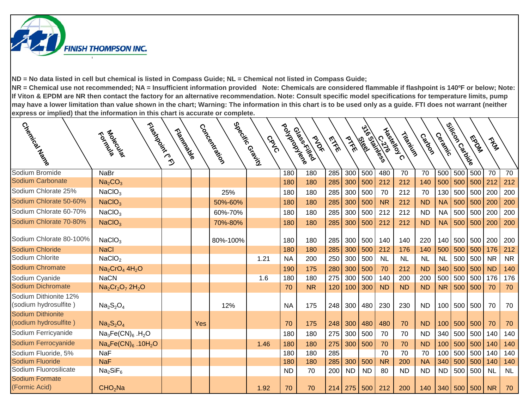

| Coecimies Area                                 | Flashdarich C.C.<br>Tological       | Tripidación |     | Coccocker | Special Ridian<br><b>GRVG</b> | Pouyerousles | Glasskilled<br><b>PAST</b> | <b>EXER</b> | PIFE      | 3-16 5-26 5-5<br><b>Elio</b> | $\frac{2}{3}$ | Liberaldy C<br>Tripping | Catago    | Ceracke   | Silicon Carnise | MS DON | They      |           |
|------------------------------------------------|-------------------------------------|-------------|-----|-----------|-------------------------------|--------------|----------------------------|-------------|-----------|------------------------------|---------------|-------------------------|-----------|-----------|-----------------|--------|-----------|-----------|
| Sodium Bromide                                 | <b>NaBr</b>                         |             |     |           |                               | 180          | 180                        | 285         | 300       | 500                          | 480           | 70                      | 70        | 500       | 500             | 500    | 70        | 70        |
| Sodium Carbonate                               | Na <sub>2</sub> CO <sub>3</sub>     |             |     |           |                               | 180          | 180                        | 285         | 300       | 500                          | 212           | 212                     | 140       | 500       | 500             | 500    | 212       | 212       |
| Sodium Chlorate 25%                            | NaClO <sub>3</sub>                  |             |     | 25%       |                               | 180          | 180                        | 285         | 300       | 500                          | 70            | 212                     | 70        | 130       | 500             | 500    | 200       | 200       |
| Sodium Chlorate 50-60%                         | NaClO <sub>3</sub>                  |             |     | 50%-60%   |                               | 180          | 180                        | 285         | 300       | 500                          | <b>NR</b>     | 212                     | <b>ND</b> | <b>NA</b> | 500             | 500    | 200       | 200       |
| Sodium Chlorate 60-70%                         | NaClO <sub>3</sub>                  |             |     | 60%-70%   |                               | 180          | 180                        | 285         | 300       | 500                          | 212           | 212                     | <b>ND</b> | <b>NA</b> | 500             | 500    | 200       | 200       |
| Sodium Chlorate 70-80%                         | NaClO <sub>3</sub>                  |             |     | 70%-80%   |                               | 180          | 180                        | 285         | 300       | 500                          | 212           | 212                     | <b>ND</b> | <b>NA</b> | 500             | 500    | 200       | 200       |
| Sodium Chlorate 80-100%                        | NaClO <sub>3</sub>                  |             |     | 80%-100%  |                               | 180          | 180                        | 285         | 300       | 500                          | 140           | 140                     | 220       | 140       | 500             | 500    | 200       | 200       |
| Sodium Chloride                                | <b>NaCl</b>                         |             |     |           |                               | 180          | 180                        | 285         | 300       | 500                          | 212           | 176                     | 140       | 500       | 500             | 500    | 176       | 212       |
| Sodium Chlorite                                | NaClO <sub>2</sub>                  |             |     |           | 1.21                          | <b>NA</b>    | 200                        | 250         | 300       | 500                          | <b>NL</b>     | <b>NL</b>               | <b>NL</b> | <b>NL</b> | 500             | 500    | <b>NR</b> | <b>NR</b> |
| <b>Sodium Chromate</b>                         | $Na2CrO44H2O$                       |             |     |           |                               | 190          | 175                        | 280         | 300       | 500                          | 70            | 212                     | <b>ND</b> | 340       | 500             | 500    | <b>ND</b> | 140       |
| Sodium Cyanide                                 | <b>NaCN</b>                         |             |     |           | 1.6                           | 180          | 180                        | 275         | 300       | 500                          | 140           | 200                     | 200       | 500       | 500             | 500    | 176       | 176       |
| <b>Sodium Dichromate</b>                       | $Na2Cr2O7 2H2O$                     |             |     |           |                               | 70           | <b>NR</b>                  | 120         | 100       | 300                          | <b>ND</b>     | <b>ND</b>               | <b>ND</b> | <b>NR</b> | 500             | 500    | 70        | 70        |
| Sodium Dithionite 12%<br>(sodium hydrosulfite) | $Na2S2O4$                           |             |     | 12%       |                               | <b>NA</b>    | 175                        | 248         | 300       | 480                          | 230           | 230                     | <b>ND</b> |           | 100 500 500     |        | 70        | 70        |
| <b>Sodium Dithionite</b>                       |                                     |             |     |           |                               |              |                            |             |           |                              |               |                         |           |           |                 |        |           |           |
| (sodium hydrosulfite)                          | $Na2S2O4$                           |             | Yes |           |                               | 70           | 175                        | 248         | 300       | 480                          | 480           | 70                      | <b>ND</b> | 100       | 500             | 500    | 70        | 70        |
| Sodium Ferricyanide                            | $Na3Fe(CN)6$ .H <sub>2</sub> O      |             |     |           |                               | 180          | 180                        | 275         | 300       | 500                          | 70            | 70                      | <b>ND</b> | 340       | 500             | 500    | 140       | 140       |
| Sodium Ferrocyanide                            | $Na_4Fe(CN)_6$ . 10H <sub>2</sub> O |             |     |           | 1.46                          | 180          | 180                        | 275         | 300       | 500                          | 70            | 70                      | <b>ND</b> | 100       | 500             | 500    | 140       | 140       |
| Sodium Fluoride, 5%                            | <b>NaF</b>                          |             |     |           |                               | 180          | 180                        | 285         |           |                              | 70            | 70                      | 70        | 100       | 500             | 500    | 140       | 140       |
| Sodium Fluoride                                | <b>NaF</b>                          |             |     |           |                               | 180          | 180                        | 285         | 300       | 500                          | <b>NR</b>     | 200                     | <b>NA</b> | 340       | 500             | 500    | 140       | 140       |
| Sodium Fluorosilicate                          | Na <sub>2</sub> SiF <sub>6</sub>    |             |     |           |                               | <b>ND</b>    | 70                         | 200         | <b>ND</b> | <b>ND</b>                    | 80            | <b>ND</b>               | <b>ND</b> | <b>ND</b> | 500             | 500    | <b>NL</b> | <b>NL</b> |
| <b>Sodium Formate</b><br>(Formic Acid)         | CHO <sub>2</sub> Na                 |             |     |           | 1.92                          | 70           | 70                         | 214         | 275       | 500                          | 212           | 200                     | 140       | 340       | 500             | 500    | <b>NR</b> | 70        |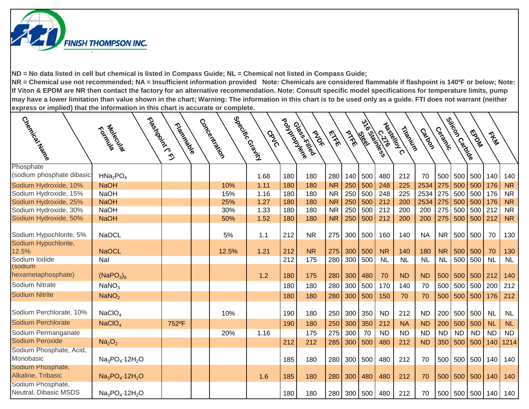

| Cyellarica News                            | Floshedore C.C.<br>Tological      | Trigitive Manus | Concentialion | Special Grains<br><b>GRVO</b> | Poulação | Glass Killed<br><b>PAST</b> | EXE       | PIFE | <b>Elgi</b> | 3/16 States | Haskeloy C<br>Tripping | Castoon   | Ceracke   | ejivoor<br>ejivoor | <b>MADWA</b> | They      |           |
|--------------------------------------------|-----------------------------------|-----------------|---------------|-------------------------------|----------|-----------------------------|-----------|------|-------------|-------------|------------------------|-----------|-----------|--------------------|--------------|-----------|-----------|
|                                            |                                   |                 |               |                               |          |                             |           |      |             |             |                        |           |           |                    |              |           |           |
| Phosphate<br>(sodium phosphate dibasic     | HMa <sub>2</sub> PO <sub>4</sub>  |                 |               | 1.68                          | 180      | 180                         | 280       | 140  | 500         | 480         | 212                    | 70        | 500       | 500                | 500          | 140       | 140       |
| Sodium Hydroxide, 10%                      | <b>NaOH</b>                       |                 | 10%           | 1.11                          | 180      | 180                         | <b>NR</b> | 250  | 500         | 248         | 225                    | 2534      | 275       | 500                | 500          | 176       | <b>NR</b> |
| Sodium Hydroxide, 15%                      | <b>NaOH</b>                       |                 | 15%           | 1.16                          | 180      | 180                         | <b>NR</b> | 250  | 500         | 248         | 225                    | 2534      | 275       | 500                | 500          | 176       | <b>NR</b> |
| Sodium Hydroxide, 25%                      | <b>NaOH</b>                       |                 | 25%           | 1.27                          | 180      | 180                         | <b>NR</b> | 250  | 500         | 212         | 200                    | 2534      | 275       | 500                | 500          | 176       | <b>NR</b> |
| Sodium Hydroxide, 30%                      | <b>NaOH</b>                       |                 | 30%           | 1.33                          | 180      | 180                         | <b>NR</b> | 250  | 500         | 212         | 200                    | 200       | 275       | 500                | 500          | 212       | <b>NR</b> |
| Sodium Hydroxide, 50%                      | <b>NaOH</b>                       |                 | 50%           | 1.52                          | 180      | 180                         | <b>NR</b> | 250  | 500         | 212         | 200                    | 200       | 275       | 500                | 500 212      |           | <b>NR</b> |
| Sodium Hypochlorite, 5%                    | <b>NaOCL</b>                      |                 | 5%            | 1.1                           | 212      | <b>NR</b>                   | 275       | 300  | 500         | 160         | 140                    | <b>NA</b> | NR        | 500                | 500          | 70        | 130       |
| Sodium Hypochlorite,<br>12.5%              | <b>NaOCL</b>                      |                 | 12.5%         | 1.21                          | 212      | <b>NR</b>                   | 275       | 300  | 500         | <b>NR</b>   | 140                    | 180       | <b>NR</b> | 500                | 500          | 70        | 130       |
| Sodium Iodide                              | Nal                               |                 |               |                               | 212      | 175                         | 280       | 300  | 500         | <b>NL</b>   | <b>NL</b>              | <b>NL</b> | <b>NL</b> | 500                | 500          | <b>NL</b> | <b>NL</b> |
| (sodium<br>hexametaphosphate)              | (NaPO <sub>3</sub> ) <sub>6</sub> |                 |               | 1.2                           | 180      | 175                         | 280       | 300  | 480         | 70          | <b>ND</b>              | <b>ND</b> | 500       | 500                | $500$ 212    |           | 140       |
| Sodium Nitrate                             | NaNO <sub>3</sub>                 |                 |               |                               | 180      | 180                         | 280       | 300  | 500         | 170         | 140                    | 70        | 500       | 500                | 500 200      |           | 212       |
| <b>Sodium Nitrite</b>                      | NaNO <sub>2</sub>                 |                 |               |                               | 180      | 180                         | 280       | 300  | 500         | 150         | 70                     | 70        | 500       | 500                | $500$ 176    |           | 212       |
| Sodium Perchlorate, 10%                    | NaClO <sub>4</sub>                |                 | 10%           |                               | 190      | 180                         | 250       | 300  | 350         | <b>ND</b>   | 212                    | <b>ND</b> | 200       | 500                | 500          | <b>NL</b> | <b>NL</b> |
| <b>Sodium Perchlorate</b>                  | NaClO <sub>4</sub>                | 752°F           |               |                               | 190      | 180                         | 250       | 300  | 350         | 212         | <b>NA</b>              | <b>ND</b> | 200       | 500                | 500          | <b>NL</b> | NL        |
| Sodium Permanganate                        |                                   |                 | 20%           | 1.16                          |          | 175                         | 275       | 300  | 70          | <b>ND</b>   | <b>ND</b>              | <b>ND</b> | <b>ND</b> | <b>ND</b>          | <b>ND</b>    | <b>ND</b> | <b>ND</b> |
| Sodium Peroxide                            | Na <sub>2</sub> O <sub>2</sub>    |                 |               |                               | 212      | 212                         | 285       | 300  | 500         | 480         | 212                    | <b>ND</b> | 350       | 500                | 500          | 140       | 1214      |
| Sodium Phosphate, Acid,<br>Monobasic       | $Na_3PO_4 \cdot 12H_2O$           |                 |               |                               | 185      | 180                         | 280       | 300  | 500         | 480         | 212                    | 70        | 500       | 500                | 500          | 140       | 140       |
| Sodium Phosphate,<br>Alkaline, Tribasic    | $Na_3PO_4 \cdot 12H_2O$           |                 |               | 1.6                           | 185      | 180                         | 280       | 300  | 480         | 480         | 212                    | 70        |           | 500 500 500 140    |              |           | 140       |
| Sodium Phosphate,<br>Neutral, Dibasic MSDS | $Na3PO4·12H2O$                    |                 |               |                               | 180      | 180                         | 280       |      | 300 500     | 480         | 212                    | 70        |           | 500 500 500 140    |              |           | 140       |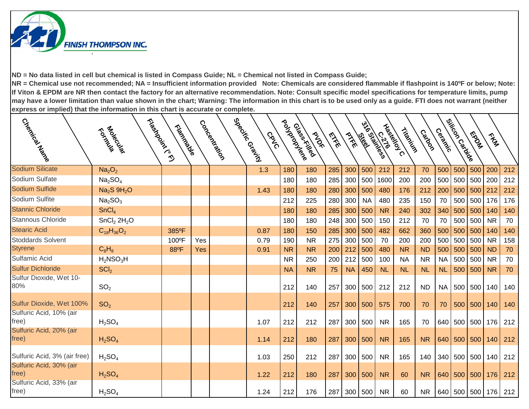

| Creative Marian                  | Tological                           | Triatics River |     | Concertistics | Specing Grain I<br>CRVC | poulations | Glass Killed<br>PADE | <b>EXER</b> | PIFE      | <b>Ciga</b> | mile States<br>Haskold C | Tripping  | Castoon   | Ceracke   | ejikoor<br>ejikoor | <b>Magda</b> | The             |     |
|----------------------------------|-------------------------------------|----------------|-----|---------------|-------------------------|------------|----------------------|-------------|-----------|-------------|--------------------------|-----------|-----------|-----------|--------------------|--------------|-----------------|-----|
| <b>Sodium Silicate</b>           | Na <sub>2</sub> O <sub>2</sub>      |                |     |               | 1.3                     | 180        | 180                  | 285         | 300       | 500         | 212                      | 212       | 70        | 500       | 500                | 500          | 200             | 212 |
| Sodium Sulfate                   | Na <sub>2</sub> SO <sub>4</sub>     |                |     |               |                         | 180        | 180                  | 285         | 300       | 500         | 1600                     | 200       | 200       |           | 500 500            | 500 200      |                 | 212 |
| Sodium Sulfide                   | Na <sub>2</sub> S 9H <sub>2</sub> O |                |     |               | 1.43                    | 180        | 180                  | 280         | 300       | 500         | 480                      | 176       | 212       | 200       | 500                | 500          | 212             | 212 |
| Sodium Sulfite                   | Na <sub>2</sub> SO <sub>3</sub>     |                |     |               |                         | 212        | 225                  | 280         | 300       | <b>NA</b>   | 480                      | 235       | 150       | 70        | 500                | 500          | 176             | 176 |
| <b>Stannic Chloride</b>          | SnCl <sub>4</sub>                   |                |     |               |                         | 180        | 180                  | 285         | 300       | 500         | <b>NR</b>                | 240       | 302       | 340       | 500                | 500          | 140             | 140 |
| <b>Stannous Chloride</b>         | SnCl <sub>2</sub> 2H <sub>2</sub> O |                |     |               |                         | 180        | 180                  | 248         | 300       | 500         | 150                      | 212       | 70        | 70        | 500                | 500          | <b>NR</b>       | 70  |
| <b>Stearic Acid</b>              | $C_{18}H_{36}O_2$                   | 385°F          |     |               | 0.87                    | 180        | 150                  | 285         | 300       | 500         | 482                      | 662       | 360       | 500       | 500                | 500          | 140             | 140 |
| <b>Stoddards Solvent</b>         |                                     | 100°F          | Yes |               | 0.79                    | 190        | <b>NR</b>            | 275         | 300       | 500         | 70                       | 200       | 200       | 500       | 500                | 500          | <b>NR</b>       | 158 |
| <b>Styrene</b>                   | $C_8H_8$                            | 88°F           | Yes |               | 0.91                    | <b>NR</b>  | <b>NR</b>            | 200         | 212       | 500         | 480                      | <b>NR</b> | <b>ND</b> | 500       | 500                | 500          | <b>ND</b>       | 70  |
| Sulfamic Acid                    | $H_2$ NSO <sub>3</sub> H            |                |     |               |                         | <b>NR</b>  | 250                  | 200         | 212       | 500         | 100                      | <b>NA</b> | <b>NR</b> | <b>NA</b> | 500                | 500          | <b>NR</b>       | 70  |
| <b>Sulfur Dichloride</b>         | SCI <sub>2</sub>                    |                |     |               |                         | <b>NA</b>  | <b>NR</b>            | 75          | <b>NA</b> | 450         | <b>NL</b>                | NL        | <b>NL</b> | <b>NL</b> | 500                | 500          | <b>NR</b>       | 70  |
| Sulfur Dioxide, Wet 10-<br>80%   | SO <sub>2</sub>                     |                |     |               |                         | 212        | 140                  | 257         |           | 300 500     | 212                      | 212       | <b>ND</b> | <b>NA</b> | 500                | 500          | 140             | 140 |
| Sulfur Dioxide, Wet 100%         | SO <sub>2</sub>                     |                |     |               |                         | 212        | 140                  | 257         |           | 300   500   | 575                      | 700       | 70        | 70        | 500                | 500          | 140             | 140 |
| Sulfuric Acid, 10% (air<br>free) | $H_2SO_4$                           |                |     |               | 1.07                    | 212        | 212                  | 287         | 300       | 500         | <b>NR</b>                | 165       | 70        |           | 640 500            | 500          | 176             | 212 |
| Sulfuric Acid, 20% (air<br>free) | H <sub>2</sub> SO <sub>4</sub>      |                |     |               | 1.14                    | 212        | 180                  | 287         |           | 300 500     | <b>NR</b>                | 165       | <b>NR</b> |           | 640 500 500        |              | 140             | 212 |
| Sulfuric Acid, 3% (air free)     | H <sub>2</sub> SO <sub>4</sub>      |                |     |               | 1.03                    | 250        | 212                  | 287         | 300       | 500         | <b>NR</b>                | 165       | 140       |           | 340 500            | 500          | 140             | 212 |
| Sulfuric Acid, 30% (air<br>free) | H <sub>2</sub> SO <sub>4</sub>      |                |     |               | 1.22                    | 212        | 180                  | 287         | 300       | 500         | <b>NR</b>                | 60        | <b>NR</b> |           | 640 500 500        |              | 176             | 212 |
| Sulfuric Acid, 33% (air<br>free) | $H_2SO_4$                           |                |     |               | 1.24                    | 212        | 176                  | 287         |           | 300   500   | <b>NR</b>                | 60        | NR.       |           |                    |              | 640 500 500 176 | 212 |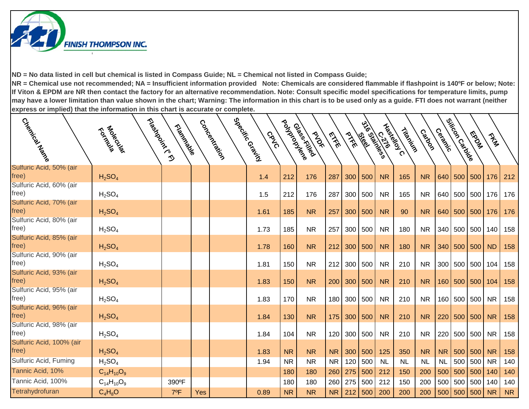

| Cladrical March                   | Flashdoirtean<br>Foldowich     | Tripidades |            | Concentialism | 526° (3181)<br>528 <sup>051</sup> (3181)<br>CRVC | Poulação  | Glassis Killed<br><b>PAST</b> | EXE       | PTFE | les les | 216 C.1/1655 | <b>Haskelon</b><br>Tripping | Catolo    | Cerack    | Silicon<br>Silicon | <b>Magnet</b> | They      |           |
|-----------------------------------|--------------------------------|------------|------------|---------------|--------------------------------------------------|-----------|-------------------------------|-----------|------|---------|--------------|-----------------------------|-----------|-----------|--------------------|---------------|-----------|-----------|
| Sulfuric Acid, 50% (air<br>free)  | $H_2SO_4$                      |            |            |               | 1.4                                              | 212       | 176                           | 287       | 300  | 500     | <b>NR</b>    | 165                         | <b>NR</b> |           | 640 500 500        |               | 176       | 212       |
| Sulfuric Acid, 60% (air<br>free)  | H <sub>2</sub> SO <sub>4</sub> |            |            |               | 1.5                                              | 212       | 176                           | 287       | 300  | 500     | <b>NR</b>    | 165                         | <b>NR</b> |           | 640 500 500        |               | 176       | 176       |
| Sulfuric Acid, 70% (air<br>free)  | H <sub>2</sub> SO <sub>4</sub> |            |            |               | 1.61                                             | 185       | <b>NR</b>                     | 257       | 300  | 500     | <b>NR</b>    | 90                          | <b>NR</b> |           | 640 500 500        |               | 176       | 176       |
| Sulfuric Acid, 80% (air<br>free)  | H <sub>2</sub> SO <sub>4</sub> |            |            |               | 1.73                                             | 185       | <b>NR</b>                     | 257       | 300  | 500     | <b>NR</b>    | 180                         | <b>NR</b> | 340       | 500 500            |               | 140       | 158       |
| Sulfuric Acid, 85% (air<br>free)  | H <sub>2</sub> SO <sub>4</sub> |            |            |               | 1.78                                             | 160       | <b>NR</b>                     | 212       | 300  | 500     | <b>NR</b>    | 180                         | <b>NR</b> |           | 340 500 500        |               | <b>ND</b> | 158       |
| Sulfuric Acid, 90% (air<br>free)  | H <sub>2</sub> SO <sub>4</sub> |            |            |               | 1.81                                             | 150       | <b>NR</b>                     | 212       | 300  | 500     | <b>NR</b>    | 210                         | <b>NR</b> |           | 300 500 500 104    |               |           | 158       |
| Sulfuric Acid, 93% (air<br>free)  | H <sub>2</sub> SO <sub>4</sub> |            |            |               | 1.83                                             | 150       | <b>NR</b>                     | 200       | 300  | 500     | <b>NR</b>    | 210                         | <b>NR</b> |           | 160 500 500        |               | 104       | 158       |
| Sulfuric Acid, 95% (air<br>free)  | H <sub>2</sub> SO <sub>4</sub> |            |            |               | 1.83                                             | 170       | <b>NR</b>                     | 180       | 300  | 500     | <b>NR</b>    | 210                         | <b>NR</b> |           | 160 500 500        |               | <b>NR</b> | 158       |
| Sulfuric Acid, 96% (air<br>free)  | H <sub>2</sub> SO <sub>4</sub> |            |            |               | 1.84                                             | 130       | <b>NR</b>                     | 175       | 300  | 500     | <b>NR</b>    | 210                         | <b>NR</b> |           | 220 500 500        |               | <b>NR</b> | 158       |
| Sulfuric Acid, 98% (air<br>free)  | H <sub>2</sub> SO <sub>4</sub> |            |            |               | 1.84                                             | 104       | <b>NR</b>                     | 120       | 300  | 500     | <b>NR</b>    | 210                         | <b>NR</b> | 220       | 500 500            |               | <b>NR</b> | 158       |
| Sulfuric Acid, 100% (air<br>free) | H <sub>2</sub> SO <sub>4</sub> |            |            |               | 1.83                                             | <b>NR</b> | <b>NR</b>                     | <b>NR</b> | 300  | 500     | 125          | 350                         | <b>NR</b> | <b>NR</b> |                    | $500$ 500     | <b>NR</b> | 158       |
| Sulfuric Acid, Fuming             | H <sub>2</sub> SO <sub>4</sub> |            |            |               | 1.94                                             | <b>NR</b> | <b>NR</b>                     | <b>NR</b> | 120  | 500     | <b>NL</b>    | <b>NL</b>                   | <b>NL</b> | <b>NL</b> | 500 500            |               | <b>NR</b> | 140       |
| Tannic Acid, 10%                  | $C_{14}H_{10}O_9$              |            |            |               |                                                  | 180       | 180                           | 260       | 275  | 500     | 212          | 150                         | 200       | 500       | $500$ 500          |               | 140       | 140       |
| Tannic Acid, 100%                 | $C_{14}H_{10}O_9$              | 390°F      |            |               |                                                  | 180       | 180                           | 260       | 275  | 500     | 212          | 150                         | 200       | 500       | 500 500            |               | 140       | 140       |
| Tetrahydrofuran                   | $C_4H_8O$                      | 7ºF        | <b>Yes</b> |               | 0.89                                             | <b>NR</b> | <b>NR</b>                     | <b>NR</b> | 212  | 500     | 200          | 200                         | 200       |           | 500 500 500        |               | <b>NR</b> | <b>NR</b> |